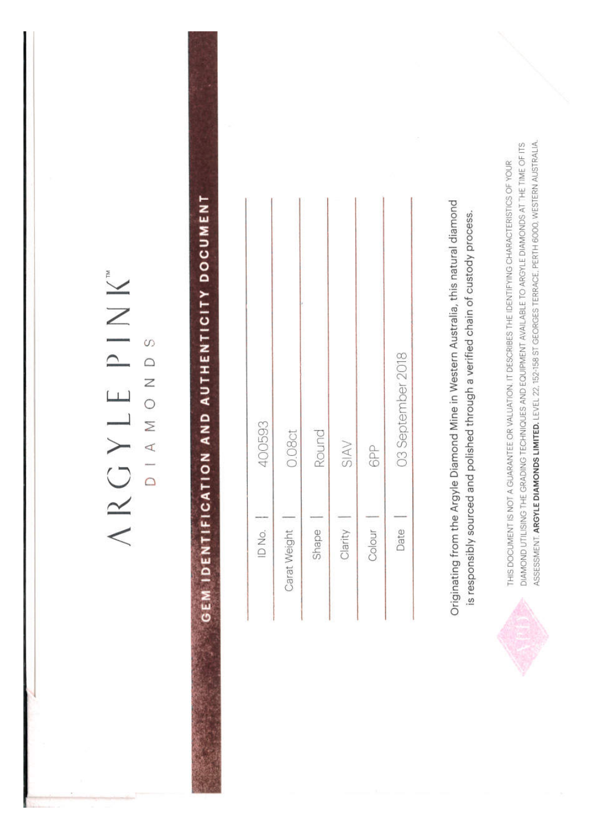### ARGYLE PINK"

DIAMONDS

# GEM IDENTIFICATION AND AUTHENTICITY DOCUMENT

| 400593           | 0.08ct       | Round | SIAV    | 6PP    | 03 September 2018 |
|------------------|--------------|-------|---------|--------|-------------------|
| $ID$ No. $\vert$ | Carat Weight | Shape | Clarity | Colour | Date              |

Originating from the Argyle Diamond Mine in Western Australia, this natural diamond is responsibly sourced and polished through a verified chain of custody process.



ASSESSMENT. ARGYLE DIAMONDS LIMITED. LEVEL 22, 152-158 ST GEORGES TERRACE, PERTH 6000, WESTERN AUSTRALIA. DIAMOND UTILISING THE GRADING TECHNIQUES AND EQUIPMENT AVAILABLE TO ARGYLE DIAMONDS AT THE TIME OF ITS THIS DOCUMENT IS NOT A GUARANTEE OR VALUATION. IT DESCRIBES THE IDENTIFYING CHARACTERISTICS OF YOUR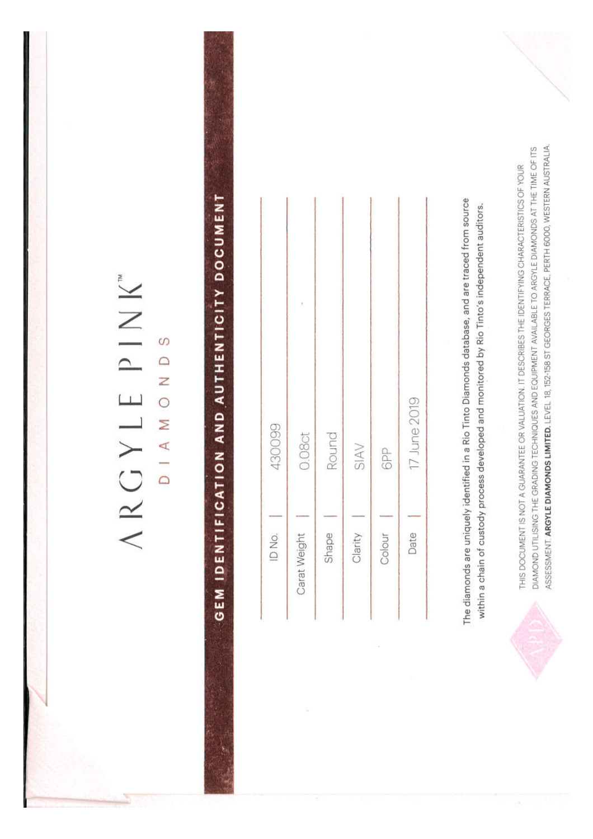| ă         | S |
|-----------|---|
| $\supset$ |   |
|           |   |
| $\Box$    | C |
| J         |   |
| ×         | r |
|           |   |
|           | 7 |
|           |   |
| ╱<br>∉    |   |

## GEM IDENTIFICATION AND AUTHENTICITY DOCUMENT

| 430099 | 0.08ct       | Round | SIAV    | 6PP    | 17 June 2019 |
|--------|--------------|-------|---------|--------|--------------|
| ID No. | Carat Weight | Shape | Clarity | Colour | Date         |

DIAMOND UTILISING THE GRADING TECHNIQUES AND EQUIPMENT AVAILABLE TO ARGYLE DIAMONDS AT THE TIME OF ITS THIS DOCUMENT IS NOT A GUARANTEE OR VALUATION. IT DESCRIBES THE IDENTIFYING CHARACTERISTICS OF YOUR

The diamonds are uniquely identified in a Rio Tinto Diamonds database, and are traced from source within a chain of custody process developed and monitored by Rio Tinto's independent auditors. ASSESSMENT. ARGYLE DIAMONDS LIMITED. LEVEL 18, 152-158 ST GEORGES TERRACE, PERTH 6000, WESTERN AUSTRALIA.

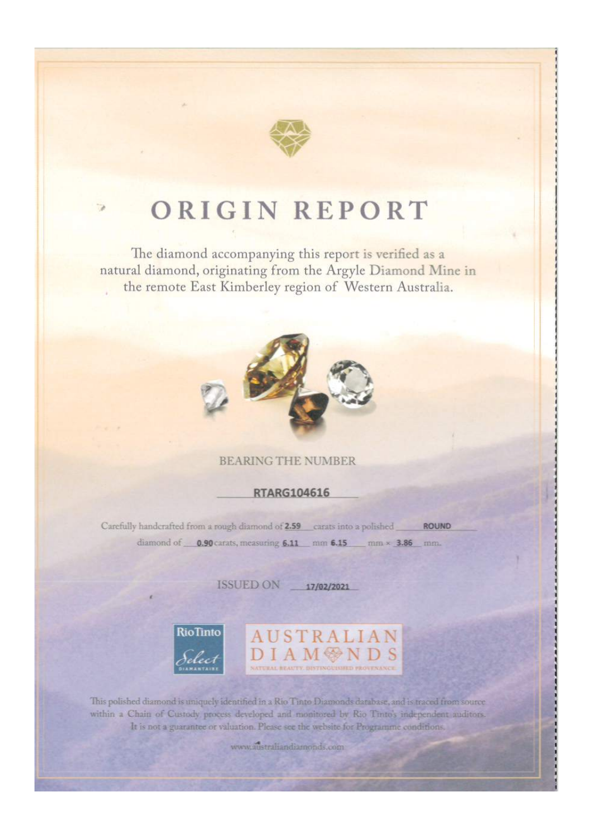

### ORIGIN REPORT

The diamond accompanying this report is verified as a natural diamond, originating from the Argyle Diamond Mine in the remote East Kimberley region of Western Australia.



### **BEARING THE NUMBER**

**RTARG104616** 

Carefully handcrafted from a rough diamond of 2.59 carats into a polished ROUND diamond of 0.90 carats, measuring 6.11 mm 6.15 mm × 3.86 mm.

ISSUED ON 17/02/2021



**AUSTRALIA** 

This polished diamond is uniquely identified in a Rio Tinto Diamonds database, and is traced from source within a Chain of Custody process developed and monitored by Rio Tinto's independent auditors. It is not a guarantee or valuation. Please see the website for Programme conditions.

www.australiandiamonds.com